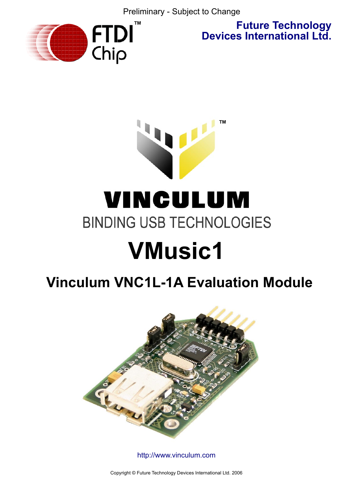Preliminary - Subject to Change



**Future Technology Devices International Ltd.**

# **™** VINCULUM **BINDING USB TECHNOLOGIES VMusic1**

# **Vinculum VNC1L-1A Evaluation Module**



<http://www.vinculum.com>

Copyright © Future Technology Devices International Ltd. 2006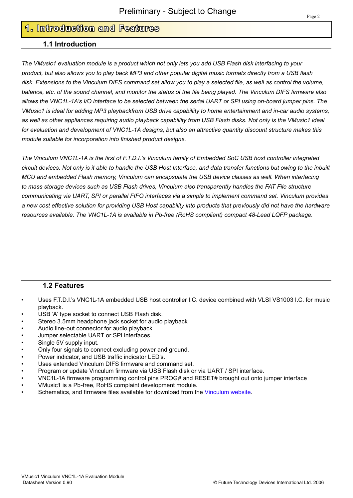# **1. Introduction and Features**

#### **1.1 Introduction**

*The VMusic1 evaluation module is a product which not only lets you add USB Flash disk interfacing to your product, but also allows you to play back MP3 and other popular digital music formats directly from a USB flash disk. Extensions to the Vinculum DIFS command set allow you to play a selected file, as well as control the volume, balance, etc. of the sound channel, and monitor the status of the file being played. The Vinculum DIFS firmware also allows the VNC1L-1A's I/O interface to be selected between the serial UART or SPI using on-board jumper pins. The VMusic1 is ideal for adding MP3 playbackfrom USB drive capabillity to home entertainment and in-car audio systems, as well as other appliances requiring audio playback capabillity from USB Flash disks. Not only is the VMusic1 ideal for evaluation and development of VNC1L-1A designs, but also an attractive quantity discount structure makes this module suitable for incorporation into finished product designs.* 

*The Vinculum VNC1L-1A is the first of F.T.D.I.'s Vinculum family of Embedded SoC USB host controller integrated circuit devices. Not only is it able to handle the USB Host Interface, and data transfer functions but owing to the inbuilt MCU and embedded Flash memory, Vinculum can encapsulate the USB device classes as well. When interfacing to mass storage devices such as USB Flash drives, Vinculum also transparently handles the FAT File structure communicating via UART, SPI or parallel FIFO interfaces via a simple to implement command set. Vinculum provides a new cost effective solution for providing USB Host capability into products that previously did not have the hardware resources available. The VNC1L-1A is available in Pb-free (RoHS compliant) compact 48-Lead LQFP package.* 

### **1.2 Features**

- Uses F.T.D.I.'s VNC1L-1A embedded USB host controller I.C. device combined with VLSI VS1003 I.C. for music playback.
- USB 'A' type socket to connect USB Flash disk.
- Stereo 3.5mm headphone jack socket for audio playback
- Audio line-out connector for audio playback
- Jumper selectable UART or SPI interfaces.
- Single 5V supply input.
- Only four signals to connect excluding power and ground.
- Power indicator, and USB traffic indicator LED's.
- Uses extended Vinculum DIFS firmware and command set.
- Program or update Vinculum firmware via USB Flash disk or via UART / SPI interface.
- VNC1L-1A firmware programming control pins PROG# and RESET# brought out onto jumper interface
- VMusic1 is a Pb-free, RoHS complaint development module.
- Schematics, and firmware files available for download from the [Vinculum website.](http://www.vinculum.com)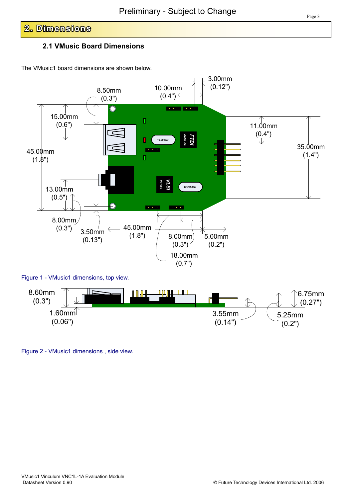# **2. Dimensions**

# **2.1 VMusic Board Dimensions**

The VMusic1 board dimensions are shown below.



Figure 2 - VMusic1 dimensions , side view.